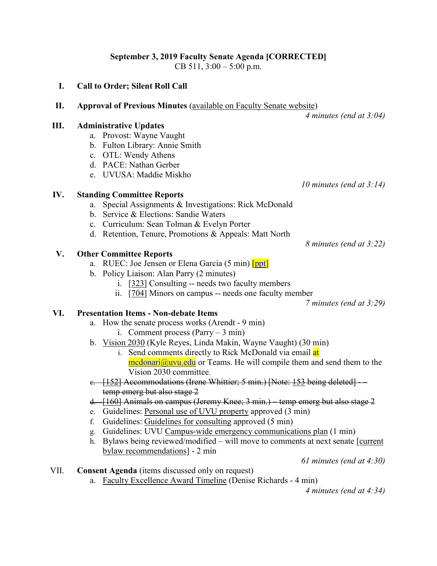# **September 3, 2019 Faculty Senate Agenda [CORRECTED]**

CB 511, 3:00 – 5:00 p.m.

## **I. Call to Order; Silent Roll Call**

**II. Approval of Previous Minutes** [\(available on Faculty Senate website\)](https://www.uvu.edu/facsenate/minutes.html)

*4 minutes (end at 3:04)*

#### **III. Administrative Updates**

- a. Provost: Wayne Vaught
- b. Fulton Library: Annie Smith
- c. OTL: Wendy Athens
- d. PACE: Nathan Gerber
- e. UVUSA: Maddie Miskho

## **IV. Standing Committee Reports**

- a. Special Assignments & Investigations: Rick McDonald
- b. Service & Elections: Sandie Waters
- c. Curriculum: Sean Tolman & Evelyn Porter
- d. Retention, Tenure, Promotions & Appeals: Matt North

## **V. Other Committee Reports**

- a. RUEC: Joe Jensen or Elena Garcia (5 min) [\[ppt\]](https://uvu.app.box.com/file/518025831110)
- b. Policy Liaison: Alan Parry (2 minutes)
	- i. [\[323\]](https://policy.uvu.edu/getDisplayFile/5d3a1c349b7de4fd56b537f2) Consulting -- needs two faculty members
	- ii. [\[704\]](https://policy.uvu.edu/getDisplayFile/58a66854fe4d5a984efde6a1) Minors on campus -- needs one faculty member

*7 minutes (end at 3:29)*

## **VI. Presentation Items - Non-debate Items**

- a. How the senate process works (Arendt 9 min)
	- i. Comment process  $(Parry 3 min)$
- b. [Vision 2030](https://my.uvu.edu/talk/) (Kyle Reyes, Linda Makin, Wayne Vaught) (30 min)
	- i. Send comments directly to Rick McDonald via email at  $\text{median}(\hat{\omega}$ uvu.edu or Teams. He will compile them and send them to the Vision 2030 committee.
- e. [\[152\]](https://policy.uvu.edu/getDisplayFile/5cb0e886daf5b46741c6a031) Accommodations (Irene Whittier; 5 min.) [Note: [153](https://policy.uvu.edu/getDisplayFile/5cb10786daf5b46741c6a035) being deleted] temp emerg but also stage 2
- d. [\[160\]](https://policy.uvu.edu/getDisplayFile/5cb10846daf5b46741c6a036) Animals on campus (Jeremy Knee; 3 min.) temp emerg but also stage 2
- e. Guidelines: [Personal use of UVU property](https://www.uvu.edu/policies/docs/personal_use_of_public_property_guideline.pdf) approved (3 min)
- f. Guidelines: [Guidelines for consulting](https://www.uvu.edu/policies/docs/guidelines_for_consulting.pdf) approved (5 min)
- g. Guidelines: UVU [Campus-wide emergency communications plan](https://www.uvu.edu/policies/docs/guideline_emergency_communications_08222019.pdf) (1 min)
- h. Bylaws being reviewed/modified will move to comments at next senate [\[current](https://drive.google.com/file/d/1gBipZmHwEEffav2-vgr6bDyziszo8F9w/view)  [bylaw recommendations\]](https://drive.google.com/file/d/1gBipZmHwEEffav2-vgr6bDyziszo8F9w/view) - 2 min

*61 minutes (end at 4:30)*

## VII. **Consent Agenda** (items discussed only on request)

a. [Faculty Excellence Award Timeline](https://uvu.box.com/s/8lqgm4ju0e4nf8893je9gld34nt993om) (Denise Richards - 4 min)

*4 minutes (end at 4:34)*

*8 minutes (end at 3:22)*

*10 minutes (end at 3:14)*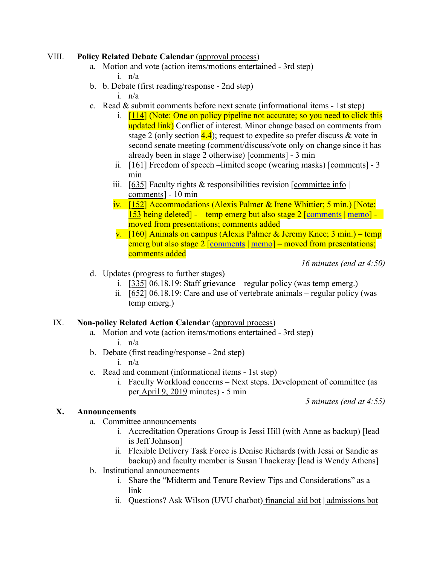#### VIII. **Policy Related Debate Calendar** [\(approval process\)](https://docs.google.com/document/d/1ZysEECw97M4r9WoDRP43UkiTuGeuK0QIeYit67dJEWs/edit?usp=sharing)

- a. Motion and vote (action items/motions entertained 3rd step) i. n/a
- b. b. Debate (first reading/response 2nd step) i. n/a
- c. Read & submit comments before next senate (informational items 1st step)
	- i. [\[114\]](https://uvu.box.com/s/8vjaq3vo0erjtqmsv7kd5jr8gkvahryw) (Note: One on policy pipeline not accurate; so you need to click this updated link) Conflict of interest. Minor change based on comments from stage 2 (only section  $\frac{4.4}{4}$ ); request to expedite so prefer discuss & vote in second senate meeting (comment/discuss/vote only on change since it has already been in stage 2 otherwise) [\[comments\]](https://docs.google.com/document/d/1JzMEDTSQVJfD6EXJ60GDSEh14uiVKAQ3lYuudgYUD54/edit?usp=sharing) - 3 min
	- ii. [\[161\]](https://policy.uvu.edu/getDisplayFile/5d3a1b539b7de4fd56b537f1) Freedom of speech –limited scope (wearing masks) [\[comments\]](https://docs.google.com/document/d/1KGPQgLEvQ189gxL1l8L5mPUZWyQ6rrlht-4Nnu5-Dfk/edit?usp=sharing) 3 min
	- iii. [\[635\]](https://policy.uvu.edu/getDisplayFile/59a47e34568009ec588136fb) Faculty rights & responsibilities revision  $[committe\,info]$ [comments\]](https://docs.google.com/document/d/1_aV5CptTlKYW6Tx2yn1BAkGIAqpnYlH0T8Tze1u5S1g/edit?usp=sharing) - 10 min
	- iv. [\[152\]](https://policy.uvu.edu/getDisplayFile/5cb0e886daf5b46741c6a031) Accommodations (Alexis Palmer & Irene Whittier; 5 min.) [Note: [153](https://policy.uvu.edu/getDisplayFile/5cb10786daf5b46741c6a035) being deleted] - – temp emerg but also stage 2 [\[comments](https://docs.google.com/document/d/1xtPKpXU8glLLLd8siSx32Hhop6e4hSJJB4isCkjpy6U/edit?usp=sharing) | [memo\]](https://uvu.box.com/s/wksxiu54fm9ysz2pluqedqr3e19dm5sg) - – moved from presentations; comments added
	- v.  $[160]$  Animals on campus (Alexis Palmer & Jeremy Knee; 3 min.) temp emerg but also stage 2 [\[comments](https://docs.google.com/document/d/1HbICInrNXuLAq1k_OzUMLsG2mSierjuY1WRpux4k3EE/edit?usp=sharing) | [memo\]](https://uvu.box.com/s/luy1grlalfjq2cir1h6ba3auofaytj90) – moved from presentations; comments added

*16 minutes (end at 4:50)*

- d. Updates (progress to further stages)
	- i. [\[335\]](https://policy.uvu.edu/getDisplayFile/58f91446871972f32d1de253) 06.18.19: Staff grievance regular policy (was temp emerg.)
	- ii.  $[652]$  06.18.19: Care and use of vertebrate animals regular policy (was temp emerg.)

#### IX. **Non-policy Related Action Calendar** [\(approval process\)](https://docs.google.com/document/d/1ZysEECw97M4r9WoDRP43UkiTuGeuK0QIeYit67dJEWs/edit?usp=sharing)

- a. Motion and vote (action items/motions entertained 3rd step) i. n/a
- b. Debate (first reading/response 2nd step)
	- i. n/a
- c. Read and comment (informational items 1st step)
	- i. Faculty Workload concerns Next steps. Development of committee (as per [April 9, 2019](https://www.uvu.edu/facsenate/docs/facsenmin04-09-19.docx) minutes) - 5 min

*5 minutes (end at 4:55)*

#### **X. Announcements**

- a. Committee announcements
	- i. Accreditation Operations Group is Jessi Hill (with Anne as backup) [lead is Jeff Johnson]
	- ii. Flexible Delivery Task Force is Denise Richards (with Jessi or Sandie as backup) and faculty member is Susan Thackeray [lead is Wendy Athens]
- b. Institutional announcements
	- i. Share the "Midterm and Tenure Review Tips and Considerations" as a link
	- ii. Questions? Ask Wilson (UVU chatbot) [financial aid bot](https://www.uvu.edu/financialaid/#bot) | [admissions bot](https://www.uvu.edu/admissions/#bot)